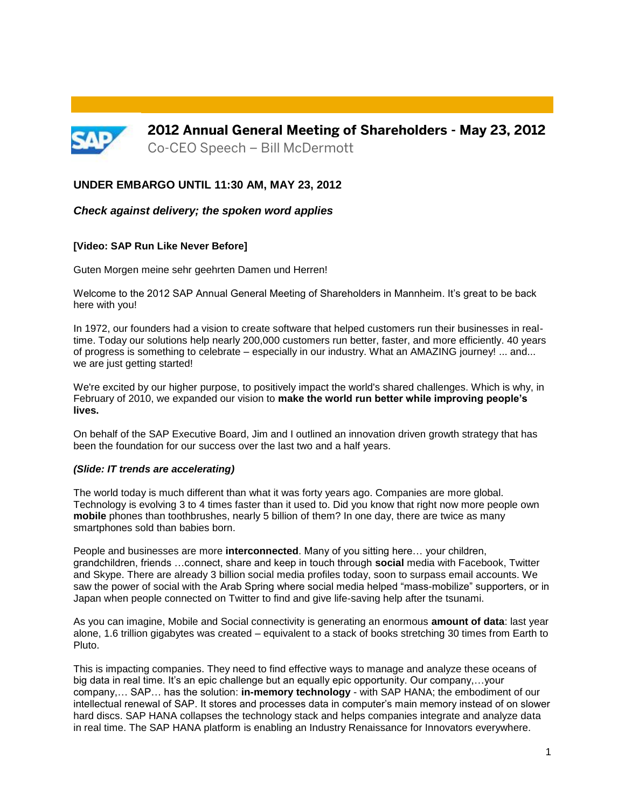

**2012 Annual General Meeting of Shareholders - May 23, 2012** Co-CEO Speech – Bill McDermott

# **UNDER EMBARGO UNTIL 11:30 AM, MAY 23, 2012**

### *Check against delivery; the spoken word applies*

#### **[Video: SAP Run Like Never Before]**

Guten Morgen meine sehr geehrten Damen und Herren!

Welcome to the 2012 SAP Annual General Meeting of Shareholders in Mannheim. It's great to be back here with you!

In 1972, our founders had a vision to create software that helped customers run their businesses in realtime. Today our solutions help nearly 200,000 customers run better, faster, and more efficiently. 40 years of progress is something to celebrate – especially in our industry. What an AMAZING journey! ... and... we are just getting started!

We're excited by our higher purpose, to positively impact the world's shared challenges. Which is why, in February of 2010, we expanded our vision to **make the world run better while improving people's lives.**

On behalf of the SAP Executive Board, Jim and I outlined an innovation driven growth strategy that has been the foundation for our success over the last two and a half years.

#### *(Slide: IT trends are accelerating)*

The world today is much different than what it was forty years ago. Companies are more global. Technology is evolving 3 to 4 times faster than it used to. Did you know that right now more people own **mobile** phones than toothbrushes, nearly 5 billion of them? In one day, there are twice as many smartphones sold than babies born.

People and businesses are more **interconnected**. Many of you sitting here… your children, grandchildren, friends …connect, share and keep in touch through **social** media with Facebook, Twitter and Skype. There are already 3 billion social media profiles today, soon to surpass email accounts. We saw the power of social with the Arab Spring where social media helped "mass-mobilize" supporters, or in Japan when people connected on Twitter to find and give life-saving help after the tsunami.

As you can imagine, Mobile and Social connectivity is generating an enormous **amount of data**: last year alone, 1.6 trillion gigabytes was created – equivalent to a stack of books stretching 30 times from Earth to Pluto.

This is impacting companies. They need to find effective ways to manage and analyze these oceans of big data in real time. It's an epic challenge but an equally epic opportunity. Our company,…your company,… SAP… has the solution: **in-memory technology** - with SAP HANA; the embodiment of our intellectual renewal of SAP. It stores and processes data in computer's main memory instead of on slower hard discs. SAP HANA collapses the technology stack and helps companies integrate and analyze data in real time. The SAP HANA platform is enabling an Industry Renaissance for Innovators everywhere.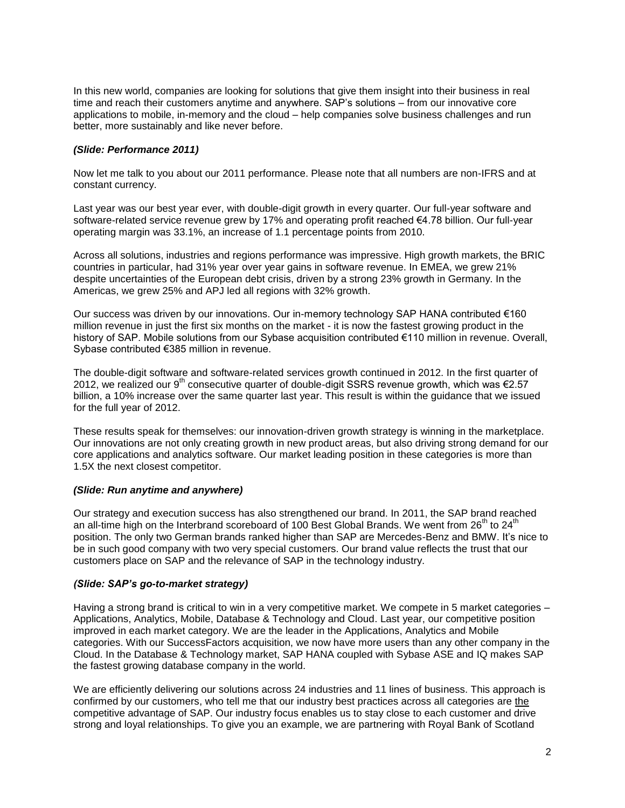In this new world, companies are looking for solutions that give them insight into their business in real time and reach their customers anytime and anywhere. SAP's solutions – from our innovative core applications to mobile, in-memory and the cloud – help companies solve business challenges and run better, more sustainably and like never before.

# *(Slide: Performance 2011)*

Now let me talk to you about our 2011 performance. Please note that all numbers are non-IFRS and at constant currency.

Last year was our best year ever, with double-digit growth in every quarter. Our full-year software and software-related service revenue grew by 17% and operating profit reached €4.78 billion. Our full-year operating margin was 33.1%, an increase of 1.1 percentage points from 2010.

Across all solutions, industries and regions performance was impressive. High growth markets, the BRIC countries in particular, had 31% year over year gains in software revenue. In EMEA, we grew 21% despite uncertainties of the European debt crisis, driven by a strong 23% growth in Germany. In the Americas, we grew 25% and APJ led all regions with 32% growth.

Our success was driven by our innovations. Our in-memory technology SAP HANA contributed €160 million revenue in just the first six months on the market - it is now the fastest growing product in the history of SAP. Mobile solutions from our Sybase acquisition contributed €110 million in revenue. Overall, Sybase contributed €385 million in revenue.

The double-digit software and software-related services growth continued in 2012. In the first quarter of 2012, we realized our 9<sup>th</sup> consecutive quarter of double-digit SSRS revenue growth, which was  $\epsilon$ 2.57 billion, a 10% increase over the same quarter last year. This result is within the guidance that we issued for the full year of 2012.

These results speak for themselves: our innovation-driven growth strategy is winning in the marketplace. Our innovations are not only creating growth in new product areas, but also driving strong demand for our core applications and analytics software. Our market leading position in these categories is more than 1.5X the next closest competitor.

#### *(Slide: Run anytime and anywhere)*

Our strategy and execution success has also strengthened our brand. In 2011, the SAP brand reached an all-time high on the Interbrand scoreboard of 100 Best Global Brands. We went from 26<sup>th</sup> to 24<sup>th</sup> position. The only two German brands ranked higher than SAP are Mercedes-Benz and BMW. It's nice to be in such good company with two very special customers. Our brand value reflects the trust that our customers place on SAP and the relevance of SAP in the technology industry.

#### *(Slide: SAP's go-to-market strategy)*

Having a strong brand is critical to win in a very competitive market. We compete in 5 market categories – Applications, Analytics, Mobile, Database & Technology and Cloud. Last year, our competitive position improved in each market category. We are the leader in the Applications, Analytics and Mobile categories. With our SuccessFactors acquisition, we now have more users than any other company in the Cloud. In the Database & Technology market, SAP HANA coupled with Sybase ASE and IQ makes SAP the fastest growing database company in the world.

We are efficiently delivering our solutions across 24 industries and 11 lines of business. This approach is confirmed by our customers, who tell me that our industry best practices across all categories are the competitive advantage of SAP. Our industry focus enables us to stay close to each customer and drive strong and loyal relationships. To give you an example, we are partnering with Royal Bank of Scotland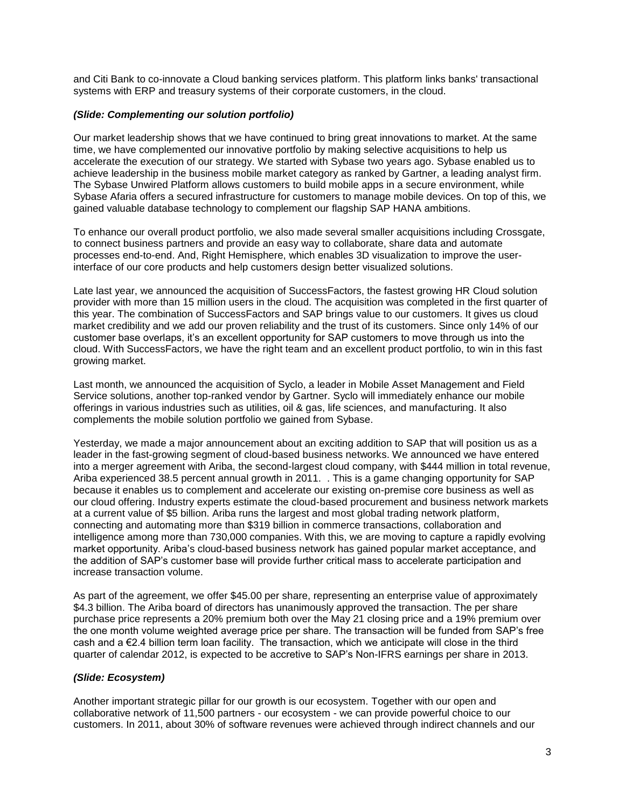and Citi Bank to co-innovate a Cloud banking services platform. This platform links banks' transactional systems with ERP and treasury systems of their corporate customers, in the cloud.

# *(Slide: Complementing our solution portfolio)*

Our market leadership shows that we have continued to bring great innovations to market. At the same time, we have complemented our innovative portfolio by making selective acquisitions to help us accelerate the execution of our strategy. We started with Sybase two years ago. Sybase enabled us to achieve leadership in the business mobile market category as ranked by Gartner, a leading analyst firm. The Sybase Unwired Platform allows customers to build mobile apps in a secure environment, while Sybase Afaria offers a secured infrastructure for customers to manage mobile devices. On top of this, we gained valuable database technology to complement our flagship SAP HANA ambitions.

To enhance our overall product portfolio, we also made several smaller acquisitions including Crossgate, to connect business partners and provide an easy way to collaborate, share data and automate processes end-to-end. And, Right Hemisphere, which enables 3D visualization to improve the userinterface of our core products and help customers design better visualized solutions.

Late last year, we announced the acquisition of SuccessFactors, the fastest growing HR Cloud solution provider with more than 15 million users in the cloud. The acquisition was completed in the first quarter of this year. The combination of SuccessFactors and SAP brings value to our customers. It gives us cloud market credibility and we add our proven reliability and the trust of its customers. Since only 14% of our customer base overlaps, it's an excellent opportunity for SAP customers to move through us into the cloud. With SuccessFactors, we have the right team and an excellent product portfolio, to win in this fast growing market.

Last month, we announced the acquisition of Syclo, a leader in Mobile Asset Management and Field Service solutions, another top-ranked vendor by Gartner. Syclo will immediately enhance our mobile offerings in various industries such as utilities, oil & gas, life sciences, and manufacturing. It also complements the mobile solution portfolio we gained from Sybase.

Yesterday, we made a major announcement about an exciting addition to SAP that will position us as a leader in the fast-growing segment of cloud-based business networks. We announced we have entered into a merger agreement with Ariba, the second-largest cloud company, with \$444 million in total revenue, Ariba experienced 38.5 percent annual growth in 2011. . This is a game changing opportunity for SAP because it enables us to complement and accelerate our existing on-premise core business as well as our cloud offering. Industry experts estimate the cloud-based procurement and business network markets at a current value of \$5 billion. Ariba runs the largest and most global trading network platform, connecting and automating more than \$319 billion in commerce transactions, collaboration and intelligence among more than 730,000 companies. With this, we are moving to capture a rapidly evolving market opportunity. Ariba's cloud-based business network has gained popular market acceptance, and the addition of SAP's customer base will provide further critical mass to accelerate participation and increase transaction volume.

As part of the agreement, we offer \$45.00 per share, representing an enterprise value of approximately \$4.3 billion. The Ariba board of directors has unanimously approved the transaction. The per share purchase price represents a 20% premium both over the May 21 closing price and a 19% premium over the one month volume weighted average price per share. The transaction will be funded from SAP's free cash and a €2.4 billion term loan facility. The transaction, which we anticipate will close in the third quarter of calendar 2012, is expected to be accretive to SAP's Non-IFRS earnings per share in 2013.

#### *(Slide: Ecosystem)*

Another important strategic pillar for our growth is our ecosystem. Together with our open and collaborative network of 11,500 partners - our ecosystem - we can provide powerful choice to our customers. In 2011, about 30% of software revenues were achieved through indirect channels and our